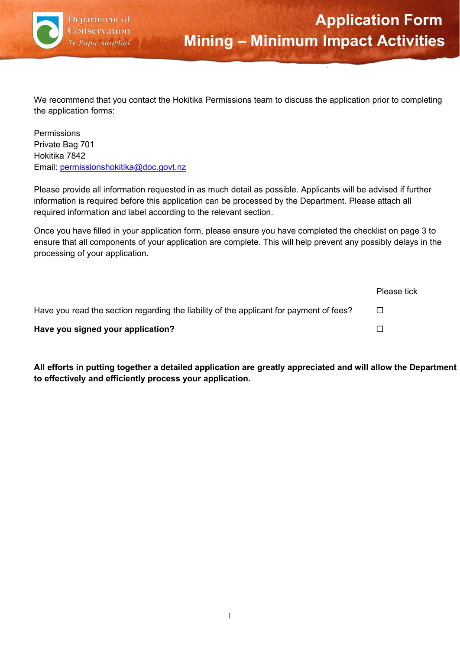

We recommend that you contact the Hokitika Permissions team to discuss the application prior to completing the application forms:

Permissions Private Bag 701 Hokitika 7842 Email: [permissionshokitika@doc.govt.nz](mailto:permissionshokitika@doc.govt.nz)

Please provide all information requested in as much detail as possible. Applicants will be advised if further information is required before this application can be processed by the Department. Please attach all required information and label according to the relevant section.

Once you have filled in your application form, please ensure you have completed the checklist on page 3 to ensure that all components of your application are complete. This will help prevent any possibly delays in the processing of your application.

|                                                                                         | Please tick              |
|-----------------------------------------------------------------------------------------|--------------------------|
| Have you read the section regarding the liability of the applicant for payment of fees? | $\overline{\phantom{a}}$ |
| Have you signed your application?                                                       | $\Box$                   |

**All efforts in putting together a detailed application are greatly appreciated and will allow the Department to effectively and efficiently process your application.**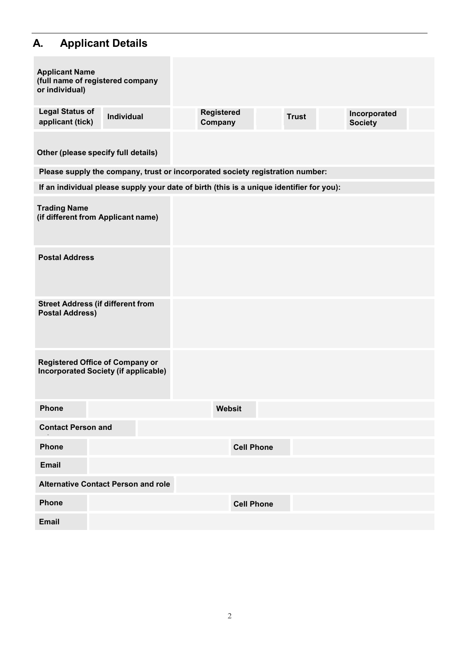# **A. Applicant Details**

| <b>Applicant Name</b><br>(full name of registered company<br>or individual)           |                                                                                          |                              |                   |              |                                |  |
|---------------------------------------------------------------------------------------|------------------------------------------------------------------------------------------|------------------------------|-------------------|--------------|--------------------------------|--|
| <b>Legal Status of</b><br>applicant (tick)                                            | Individual                                                                               | <b>Registered</b><br>Company |                   | <b>Trust</b> | Incorporated<br><b>Society</b> |  |
| Other (please specify full details)                                                   |                                                                                          |                              |                   |              |                                |  |
|                                                                                       | Please supply the company, trust or incorporated society registration number:            |                              |                   |              |                                |  |
|                                                                                       | If an individual please supply your date of birth (this is a unique identifier for you): |                              |                   |              |                                |  |
| <b>Trading Name</b><br>(if different from Applicant name)                             |                                                                                          |                              |                   |              |                                |  |
| <b>Postal Address</b>                                                                 |                                                                                          |                              |                   |              |                                |  |
| <b>Street Address (if different from</b><br><b>Postal Address)</b>                    |                                                                                          |                              |                   |              |                                |  |
| <b>Registered Office of Company or</b><br><b>Incorporated Society (if applicable)</b> |                                                                                          |                              |                   |              |                                |  |
| <b>Phone</b>                                                                          |                                                                                          | Websit                       |                   |              |                                |  |
| <b>Contact Person and</b>                                                             |                                                                                          |                              |                   |              |                                |  |
| <b>Phone</b>                                                                          |                                                                                          |                              | <b>Cell Phone</b> |              |                                |  |
| <b>Email</b>                                                                          |                                                                                          |                              |                   |              |                                |  |
| <b>Alternative Contact Person and role</b>                                            |                                                                                          |                              |                   |              |                                |  |
| <b>Phone</b>                                                                          |                                                                                          |                              | <b>Cell Phone</b> |              |                                |  |
| <b>Email</b>                                                                          |                                                                                          |                              |                   |              |                                |  |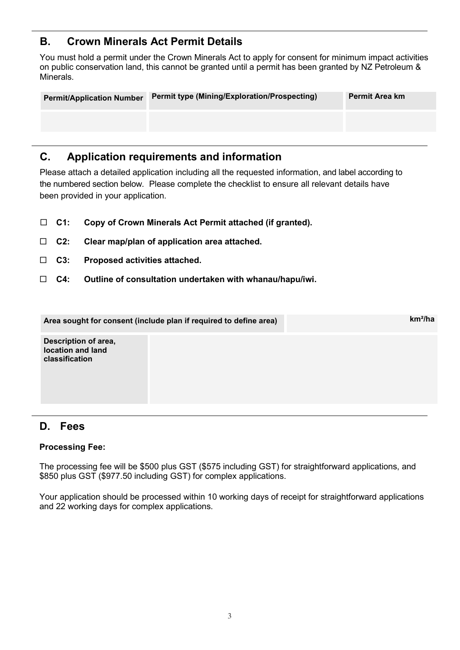## **B. Crown Minerals Act Permit Details**

You must hold a permit under the Crown Minerals Act to apply for consent for minimum impact activities on public conservation land, this cannot be granted until a permit has been granted by NZ Petroleum & Minerals.

| <b>Permit/Application Number</b> | <b>Permit type (Mining/Exploration/Prospecting)</b> | <b>Permit Area km</b> |
|----------------------------------|-----------------------------------------------------|-----------------------|
|                                  |                                                     |                       |
|                                  |                                                     |                       |

### **C. Application requirements and information**

Please attach a detailed application including all the requested information, and label according to the numbered section below. Please complete the checklist to ensure all relevant details have been provided in your application.

- **C1: Copy of Crown Minerals Act Permit attached (if granted).**
- **C2: Clear map/plan of application area attached.**
- **C3: Proposed activities attached.**
- **C4: Outline of consultation undertaken with whanau/hapu/iwi.**

|                                                             | Area sought for consent (include plan if required to define area) | $km^2/ha$ |
|-------------------------------------------------------------|-------------------------------------------------------------------|-----------|
| Description of area,<br>location and land<br>classification |                                                                   |           |

#### **D. Fees**

#### **Processing Fee:**

The processing fee will be \$500 plus GST (\$575 including GST) for straightforward applications, and \$850 plus GST (\$977.50 including GST) for complex applications.

Your application should be processed within 10 working days of receipt for straightforward applications and 22 working days for complex applications.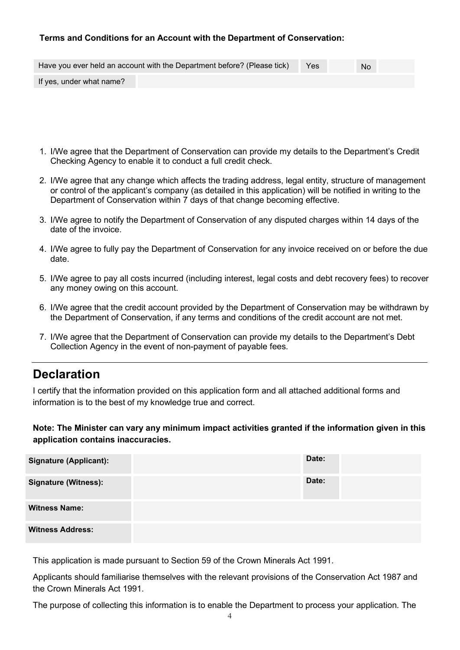#### **Terms and Conditions for an Account with the Department of Conservation:**

|                          | Have you ever held an account with the Department before? (Please tick) | Yes | <b>No</b> |  |
|--------------------------|-------------------------------------------------------------------------|-----|-----------|--|
| If yes, under what name? |                                                                         |     |           |  |

- 1. I/We agree that the Department of Conservation can provide my details to the Department's Credit Checking Agency to enable it to conduct a full credit check.
- 2. I/We agree that any change which affects the trading address, legal entity, structure of management or control of the applicant's company (as detailed in this application) will be notified in writing to the Department of Conservation within 7 days of that change becoming effective.
- 3. I/We agree to notify the Department of Conservation of any disputed charges within 14 days of the date of the invoice.
- 4. I/We agree to fully pay the Department of Conservation for any invoice received on or before the due date.
- 5. I/We agree to pay all costs incurred (including interest, legal costs and debt recovery fees) to recover any money owing on this account.
- 6. I/We agree that the credit account provided by the Department of Conservation may be withdrawn by the Department of Conservation, if any terms and conditions of the credit account are not met.
- 7. I/We agree that the Department of Conservation can provide my details to the Department's Debt Collection Agency in the event of non-payment of payable fees.

# **Declaration**

I certify that the information provided on this application form and all attached additional forms and information is to the best of my knowledge true and correct.

**Note: The Minister can vary any minimum impact activities granted if the information given in this application contains inaccuracies.**

| <b>Signature (Applicant):</b> | Date: |
|-------------------------------|-------|
| <b>Signature (Witness):</b>   | Date: |
| <b>Witness Name:</b>          |       |
| <b>Witness Address:</b>       |       |

This application is made pursuant to Section 59 of the Crown Minerals Act 1991.

Applicants should familiarise themselves with the relevant provisions of the Conservation Act 1987 and the Crown Minerals Act 1991.

The purpose of collecting this information is to enable the Department to process your application. The